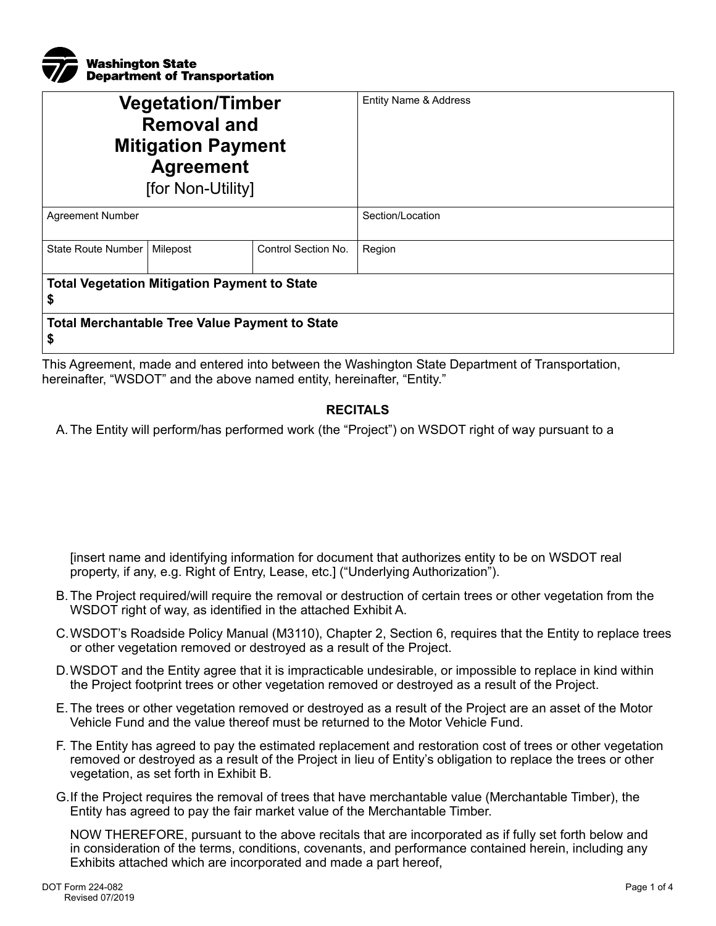

| <b>Vegetation/Timber</b><br><b>Removal and</b><br><b>Mitigation Payment</b><br><b>Agreement</b><br>[for Non-Utility] |          |                     | Entity Name & Address |  |
|----------------------------------------------------------------------------------------------------------------------|----------|---------------------|-----------------------|--|
| <b>Agreement Number</b>                                                                                              |          |                     | Section/Location      |  |
| State Route Number                                                                                                   | Milepost | Control Section No. | Region                |  |
| <b>Total Vegetation Mitigation Payment to State</b><br>\$                                                            |          |                     |                       |  |
| <b>Total Merchantable Tree Value Payment to State</b><br>\$                                                          |          |                     |                       |  |

This Agreement, made and entered into between the Washington State Department of Transportation, hereinafter, "WSDOT" and the above named entity, hereinafter, "Entity."

## **RECITALS**

A. The Entity will perform/has performed work (the "Project") on WSDOT right of way pursuant to a

[insert name and identifying information for document that authorizes entity to be on WSDOT real property, if any, e.g. Right of Entry, Lease, etc.] ("Underlying Authorization").

- B. The Project required/will require the removal or destruction of certain trees or other vegetation from the WSDOT right of way, as identified in the attached Exhibit A.
- C.WSDOT's Roadside Policy Manual (M3110), Chapter 2, Section 6, requires that the Entity to replace trees or other vegetation removed or destroyed as a result of the Project.
- D.WSDOT and the Entity agree that it is impracticable undesirable, or impossible to replace in kind within the Project footprint trees or other vegetation removed or destroyed as a result of the Project.
- E. The trees or other vegetation removed or destroyed as a result of the Project are an asset of the Motor Vehicle Fund and the value thereof must be returned to the Motor Vehicle Fund.
- F. The Entity has agreed to pay the estimated replacement and restoration cost of trees or other vegetation removed or destroyed as a result of the Project in lieu of Entity's obligation to replace the trees or other vegetation, as set forth in Exhibit B.
- G.If the Project requires the removal of trees that have merchantable value (Merchantable Timber), the Entity has agreed to pay the fair market value of the Merchantable Timber.

NOW THEREFORE, pursuant to the above recitals that are incorporated as if fully set forth below and in consideration of the terms, conditions, covenants, and performance contained herein, including any Exhibits attached which are incorporated and made a part hereof,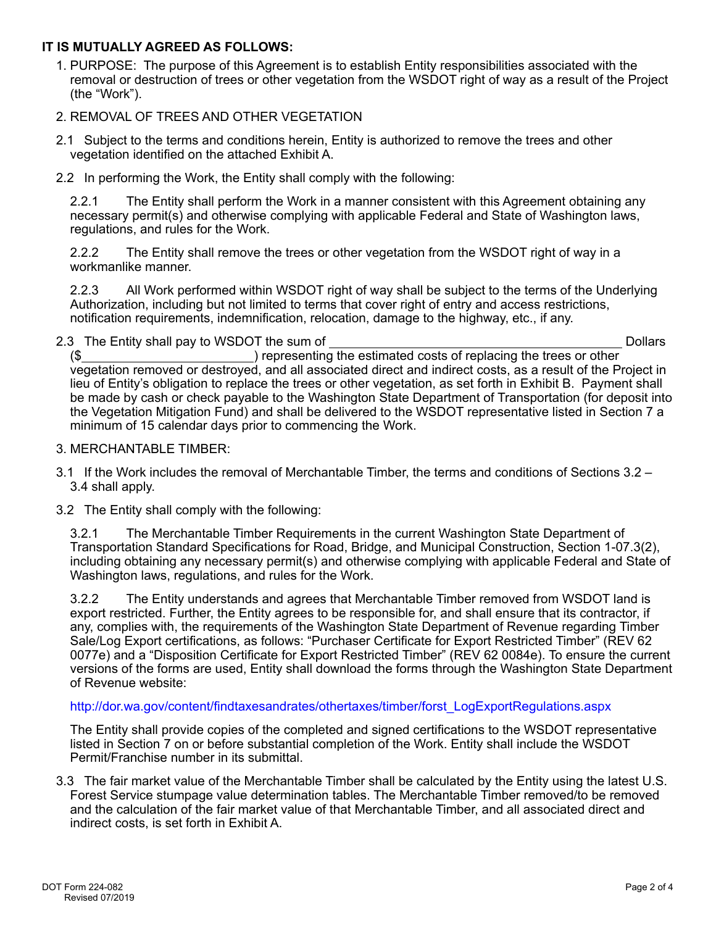## **IT IS MUTUALLY AGREED AS FOLLOWS:**

- 1. PURPOSE: The purpose of this Agreement is to establish Entity responsibilities associated with the removal or destruction of trees or other vegetation from the WSDOT right of way as a result of the Project (the "Work").
- 2. REMOVAL OF TREES AND OTHER VEGETATION
- 2.1 Subject to the terms and conditions herein, Entity is authorized to remove the trees and other vegetation identified on the attached Exhibit A.
- 2.2 In performing the Work, the Entity shall comply with the following:

2.2.1 The Entity shall perform the Work in a manner consistent with this Agreement obtaining any necessary permit(s) and otherwise complying with applicable Federal and State of Washington laws, regulations, and rules for the Work.

2.2.2 The Entity shall remove the trees or other vegetation from the WSDOT right of way in a workmanlike manner.

2.2.3 All Work performed within WSDOT right of way shall be subject to the terms of the Underlying Authorization, including but not limited to terms that cover right of entry and access restrictions, notification requirements, indemnification, relocation, damage to the highway, etc., if any.

2.3 The Entity shall pay to WSDOT the sum of Dollars and Dollars Dollars Dollars Dollars

(\$ ) representing the estimated costs of replacing the trees or other vegetation removed or destroyed, and all associated direct and indirect costs, as a result of the Project in lieu of Entity's obligation to replace the trees or other vegetation, as set forth in Exhibit B. Payment shall be made by cash or check payable to the Washington State Department of Transportation (for deposit into the Vegetation Mitigation Fund) and shall be delivered to the WSDOT representative listed in Section 7 a minimum of 15 calendar days prior to commencing the Work.

- 3. MERCHANTABLE TIMBER:
- 3.1 If the Work includes the removal of Merchantable Timber, the terms and conditions of Sections 3.2 3.4 shall apply.
- 3.2 The Entity shall comply with the following:

3.2.1 The Merchantable Timber Requirements in the current Washington State Department of Transportation Standard Specifications for Road, Bridge, and Municipal Construction, Section 1-07.3(2), including obtaining any necessary permit(s) and otherwise complying with applicable Federal and State of Washington laws, regulations, and rules for the Work.

3.2.2 The Entity understands and agrees that Merchantable Timber removed from WSDOT land is export restricted. Further, the Entity agrees to be responsible for, and shall ensure that its contractor, if any, complies with, the requirements of the Washington State Department of Revenue regarding Timber Sale/Log Export certifications, as follows: "Purchaser Certificate for Export Restricted Timber" (REV 62 0077e) and a "Disposition Certificate for Export Restricted Timber" (REV 62 0084e). To ensure the current versions of the forms are used, Entity shall download the forms through the Washington State Department of Revenue website:

## [http://dor.wa.gov/content/findtaxesandrates/othertaxes/timber/forst\\_LogExportRegulations.aspx](http://dor.wa.gov/content/findtaxesandrates/othertaxes/timber/forst_LogExportRegulations.aspx)

The Entity shall provide copies of the completed and signed certifications to the WSDOT representative listed in Section 7 on or before substantial completion of the Work. Entity shall include the WSDOT Permit/Franchise number in its submittal.

3.3 The fair market value of the Merchantable Timber shall be calculated by the Entity using the latest U.S. Forest Service stumpage value determination tables. The Merchantable Timber removed/to be removed and the calculation of the fair market value of that Merchantable Timber, and all associated direct and indirect costs, is set forth in Exhibit A.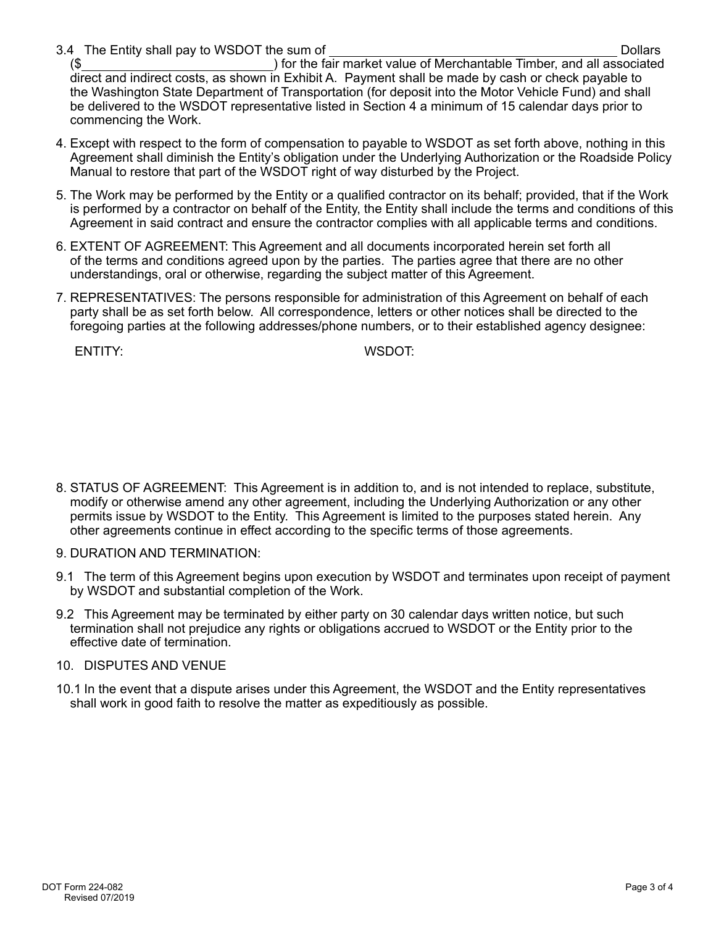3.4 The Entity shall pay to WSDOT the sum of Dollars and Dollars Dollars Dollars Dollars Dollars Dollars Dollars

(\$ ) for the fair market value of Merchantable Timber, and all associated direct and indirect costs, as shown in Exhibit A. Payment shall be made by cash or check payable to the Washington State Department of Transportation (for deposit into the Motor Vehicle Fund) and shall be delivered to the WSDOT representative listed in Section 4 a minimum of 15 calendar days prior to commencing the Work.

- 4. Except with respect to the form of compensation to payable to WSDOT as set forth above, nothing in this Agreement shall diminish the Entity's obligation under the Underlying Authorization or the Roadside Policy Manual to restore that part of the WSDOT right of way disturbed by the Project.
- 5. The Work may be performed by the Entity or a qualified contractor on its behalf; provided, that if the Work is performed by a contractor on behalf of the Entity, the Entity shall include the terms and conditions of this Agreement in said contract and ensure the contractor complies with all applicable terms and conditions.
- 6. EXTENT OF AGREEMENT: This Agreement and all documents incorporated herein set forth all of the terms and conditions agreed upon by the parties. The parties agree that there are no other understandings, oral or otherwise, regarding the subject matter of this Agreement.
- 7. REPRESENTATIVES: The persons responsible for administration of this Agreement on behalf of each party shall be as set forth below. All correspondence, letters or other notices shall be directed to the foregoing parties at the following addresses/phone numbers, or to their established agency designee:

ENTITY: WSDOT:

- 8. STATUS OF AGREEMENT: This Agreement is in addition to, and is not intended to replace, substitute, modify or otherwise amend any other agreement, including the Underlying Authorization or any other permits issue by WSDOT to the Entity. This Agreement is limited to the purposes stated herein. Any other agreements continue in effect according to the specific terms of those agreements.
- 9. DURATION AND TERMINATION:
- 9.1 The term of this Agreement begins upon execution by WSDOT and terminates upon receipt of payment by WSDOT and substantial completion of the Work.
- 9.2 This Agreement may be terminated by either party on 30 calendar days written notice, but such termination shall not prejudice any rights or obligations accrued to WSDOT or the Entity prior to the effective date of termination.
- 10. DISPUTES AND VENUE
- 10.1 In the event that a dispute arises under this Agreement, the WSDOT and the Entity representatives shall work in good faith to resolve the matter as expeditiously as possible.